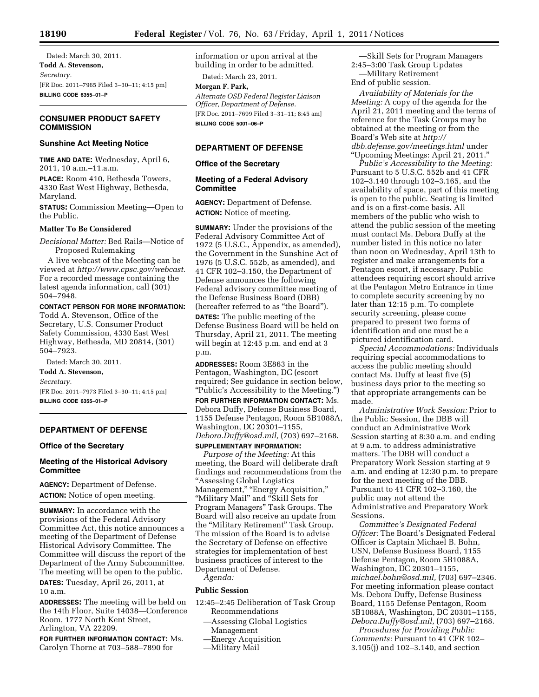Dated: March 30, 2011. **Todd A. Stevenson,**  *Secretary.*  [FR Doc. 2011–7965 Filed 3–30–11; 4:15 pm] **BILLING CODE 6355–01–P** 

# **CONSUMER PRODUCT SAFETY COMMISSION**

## **Sunshine Act Meeting Notice**

**TIME AND DATE:** Wednesday, April 6, 2011, 10 a.m.–11.a.m.

**PLACE:** Room 410, Bethesda Towers, 4330 East West Highway, Bethesda, Maryland.

**STATUS:** Commission Meeting—Open to the Public.

## **Matter To Be Considered**

*Decisional Matter:* Bed Rails—Notice of Proposed Rulemaking

A live webcast of the Meeting can be viewed at *http://www.cpsc.gov/webcast*. For a recorded message containing the latest agenda information, call (301) 504–7948.

## **CONTACT PERSON FOR MORE INFORMATION:**

Todd A. Stevenson, Office of the Secretary, U.S. Consumer Product Safety Commission, 4330 East West Highway, Bethesda, MD 20814, (301) 504–7923.

Dated: March 30, 2011.

**Todd A. Stevenson,** 

*Secretary.* 

[FR Doc. 2011–7973 Filed 3–30–11; 4:15 pm] **BILLING CODE 6355–01–P** 

### **DEPARTMENT OF DEFENSE**

#### **Office of the Secretary**

### **Meeting of the Historical Advisory Committee**

**AGENCY:** Department of Defense. **ACTION:** Notice of open meeting.

**SUMMARY:** In accordance with the provisions of the Federal Advisory Committee Act, this notice announces a meeting of the Department of Defense Historical Advisory Committee. The Committee will discuss the report of the Department of the Army Subcommittee. The meeting will be open to the public. **DATES:** Tuesday, April 26, 2011, at 10 a.m.

**ADDRESSES:** The meeting will be held on the 14th Floor, Suite 14038—Conference Room, 1777 North Kent Street, Arlington, VA 22209.

**FOR FURTHER INFORMATION CONTACT:** Ms. Carolyn Thorne at 703–588–7890 for

information or upon arrival at the building in order to be admitted.

Dated: March 23, 2011.

**Morgan F. Park,**  *Alternate OSD Federal Register Liaison Officer, Department of Defense.*  [FR Doc. 2011–7699 Filed 3–31–11; 8:45 am] **BILLING CODE 5001–06–P** 

# **DEPARTMENT OF DEFENSE**

## **Office of the Secretary**

## **Meeting of a Federal Advisory Committee**

**AGENCY:** Department of Defense. **ACTION:** Notice of meeting.

**SUMMARY:** Under the provisions of the Federal Advisory Committee Act of 1972 (5 U.S.C., Appendix, as amended), the Government in the Sunshine Act of 1976 (5 U.S.C. 552b, as amended), and 41 CFR 102–3.150, the Department of Defense announces the following Federal advisory committee meeting of the Defense Business Board (DBB) (hereafter referred to as ''the Board'').

**DATES:** The public meeting of the Defense Business Board will be held on Thursday, April 21, 2011. The meeting will begin at 12:45 p.m. and end at 3 p.m.

**ADDRESSES:** Room 3E863 in the Pentagon, Washington, DC (escort required; See guidance in section below, ''Public's Accessibility to the Meeting.'')

**FOR FURTHER INFORMATION CONTACT:** Ms. Debora Duffy, Defense Business Board, 1155 Defense Pentagon, Room 5B1088A, Washington, DC 20301–1155, *Debora.Duffy@osd.mil,* (703) 697–2168.

#### **SUPPLEMENTARY INFORMATION:**

*Purpose of the Meeting:* At this meeting, the Board will deliberate draft findings and recommendations from the ''Assessing Global Logistics Management," "Energy Acquisition," "Military Mail" and "Skill Sets for Program Managers'' Task Groups. The Board will also receive an update from the "Military Retirement" Task Group. The mission of the Board is to advise the Secretary of Defense on effective strategies for implementation of best business practices of interest to the Department of Defense.

*Agenda:* 

#### **Public Session**

- 12:45–2:45 Deliberation of Task Group Recommendations
	- —Assessing Global Logistics Management
	- —Energy Acquisition
	- —Military Mail

—Skill Sets for Program Managers 2:45–3:00 Task Group Updates —Military Retirement End of public session.

*Availability of Materials for the Meeting:* A copy of the agenda for the April 21, 2011 meeting and the terms of reference for the Task Groups may be obtained at the meeting or from the Board's Web site at *http:// dbb.defense.gov/meetings.html* under ''Upcoming Meetings: April 21, 2011.''

*Public's Accessibility to the Meeting:*  Pursuant to 5 U.S.C. 552b and 41 CFR 102–3.140 through 102–3.165, and the availability of space, part of this meeting is open to the public. Seating is limited and is on a first-come basis. All members of the public who wish to attend the public session of the meeting must contact Ms. Debora Duffy at the number listed in this notice no later than noon on Wednesday, April 13th to register and make arrangements for a Pentagon escort, if necessary. Public attendees requiring escort should arrive at the Pentagon Metro Entrance in time to complete security screening by no later than 12:15 p.m. To complete security screening, please come prepared to present two forms of identification and one must be a pictured identification card.

*Special Accommodations:* Individuals requiring special accommodations to access the public meeting should contact Ms. Duffy at least five (5) business days prior to the meeting so that appropriate arrangements can be made.

*Administrative Work Session:* Prior to the Public Session, the DBB will conduct an Administrative Work Session starting at 8:30 a.m. and ending at 9 a.m. to address administrative matters. The DBB will conduct a Preparatory Work Session starting at 9 a.m. and ending at 12:30 p.m. to prepare for the next meeting of the DBB. Pursuant to 41 CFR 102–3.160, the public may not attend the Administrative and Preparatory Work Sessions.

*Committee's Designated Federal Officer:* The Board's Designated Federal Officer is Captain Michael B. Bohn, USN, Defense Business Board, 1155 Defense Pentagon, Room 5B1088A, Washington, DC 20301–1155, *michael.bohn@osd.mil,* (703) 697–2346. For meeting information please contact Ms. Debora Duffy, Defense Business Board, 1155 Defense Pentagon, Room 5B1088A, Washington, DC 20301–1155, *Debora.Duffy@osd.mil,* (703) 697–2168.

*Procedures for Providing Public Comments:* Pursuant to 41 CFR 102– 3.105(j) and 102–3.140, and section